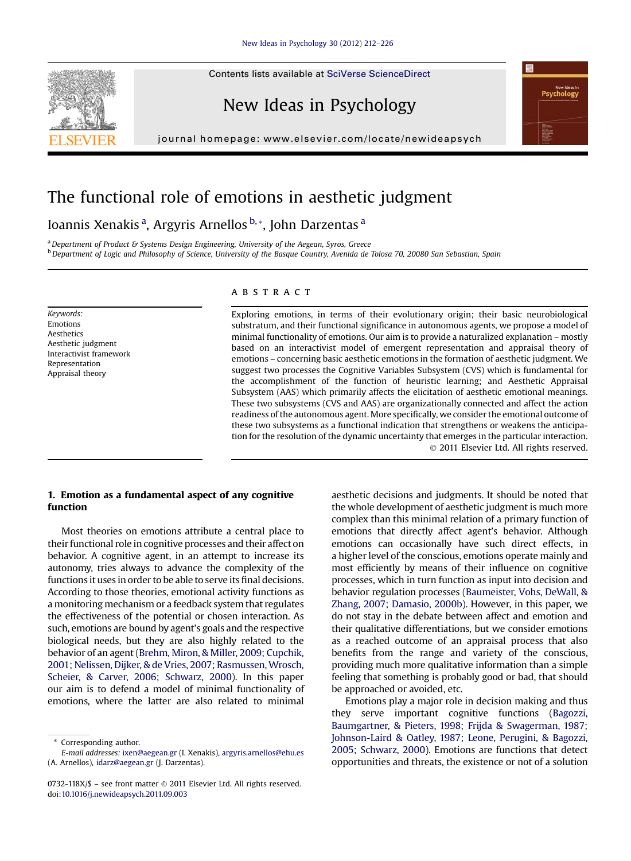Contents lists available at [SciVerse ScienceDirect](www.sciencedirect.com/science/journal/0732118X)





journal homepage: [www.elsevier.com/locate/newideapsych](http://www.elsevier.com/locate/newideapsych)

# The functional role of emotions in aesthetic judgment

# Ioannis Xenakis<sup>a</sup>, Argyris Arnellos <sup>b,</sup>\*, John Darzentas <sup>a</sup>

 $a$  Department of Product & Systems Design Engineering, University of the Aegean, Syros, Greece <sup>b</sup> Department of Logic and Philosophy of Science, University of the Basque Country, Avenida de Tolosa 70, 20080 San Sebastian, Spain

Keywords: Emotions Aesthetics Aesthetic judgment Interactivist framework Representation Appraisal theory

# ABSTRACT

Exploring emotions, in terms of their evolutionary origin; their basic neurobiological substratum, and their functional significance in autonomous agents, we propose a model of minimal functionality of emotions. Our aim is to provide a naturalized explanation – mostly based on an interactivist model of emergent representation and appraisal theory of emotions – concerning basic aesthetic emotions in the formation of aesthetic judgment. We suggest two processes the Cognitive Variables Subsystem (CVS) which is fundamental for the accomplishment of the function of heuristic learning; and Aesthetic Appraisal Subsystem (AAS) which primarily affects the elicitation of aesthetic emotional meanings. These two subsystems (CVS and AAS) are organizationally connected and affect the action readiness of the autonomous agent. More specifically, we consider the emotional outcome of these two subsystems as a functional indication that strengthens or weakens the anticipation for the resolution of the dynamic uncertainty that emerges in the particular interaction. 2011 Elsevier Ltd. All rights reserved.

# 1. Emotion as a fundamental aspect of any cognitive function

Most theories on emotions attribute a central place to their functional role in cognitive processes and their affect on behavior. A cognitive agent, in an attempt to increase its autonomy, tries always to advance the complexity of the functions it uses in order to be able to serve its final decisions. According to those theories, emotional activity functions as a monitoring mechanism or a feedback system that regulates the effectiveness of the potential or chosen interaction. As such, emotions are bound by agent's goals and the respective biological needs, but they are also highly related to the behavior of an agent [\(Brehm, Miron, & Miller, 2009; Cupchik,](#page-13-0) 2001; Nelissen, Dijker, & de Vries, 2007; Rasmussen, Wrosch, [Scheier, & Carver, 2006; Schwarz, 2000\)](#page-13-0). In this paper our aim is to defend a model of minimal functionality of emotions, where the latter are also related to minimal

aesthetic decisions and judgments. It should be noted that the whole development of aesthetic judgment is much more complex than this minimal relation of a primary function of emotions that directly affect agent's behavior. Although emotions can occasionally have such direct effects, in a higher level of the conscious, emotions operate mainly and most efficiently by means of their influence on cognitive processes, which in turn function as input into decision and behavior regulation processes [\(Baumeister, Vohs, DeWall, &](#page-13-0) [Zhang, 2007; Damasio, 2000b\)](#page-13-0). However, in this paper, we do not stay in the debate between affect and emotion and their qualitative differentiations, but we consider emotions as a reached outcome of an appraisal process that also benefits from the range and variety of the conscious, providing much more qualitative information than a simple feeling that something is probably good or bad, that should be approached or avoided, etc.

Emotions play a major role in decision making and thus they serve important cognitive functions [\(Bagozzi,](#page-13-0) [Baumgartner, & Pieters, 1998; Frijda & Swagerman, 1987;](#page-13-0) [Johnson-Laird & Oatley, 1987; Leone, Perugini, & Bagozzi,](#page-13-0) [2005; Schwarz, 2000\)](#page-13-0). Emotions are functions that detect opportunities and threats, the existence or not of a solution

Corresponding author.

E-mail addresses: [ixen@aegean.gr](mailto:ixen@aegean.gr) (I. Xenakis), [argyris.arnellos@ehu.es](mailto:argyris.arnellos@ehu.es) (A. Arnellos), [idarz@aegean.gr](mailto:idarz@aegean.gr) (J. Darzentas).

<sup>0732-118</sup>X/\$ - see front matter © 2011 Elsevier Ltd. All rights reserved. doi:[10.1016/j.newideapsych.2011.09.003](http://dx.doi.org/10.1016/j.newideapsych.2011.09.003)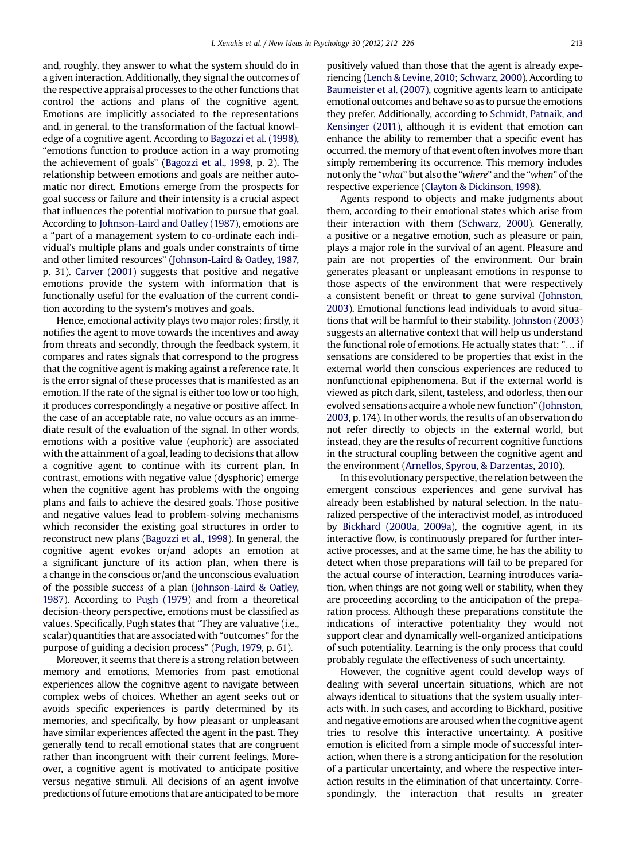and, roughly, they answer to what the system should do in a given interaction. Additionally, they signal the outcomes of the respective appraisal processes to the other functions that control the actions and plans of the cognitive agent. Emotions are implicitly associated to the representations and, in general, to the transformation of the factual knowledge of a cognitive agent. According to [Bagozzi et al. \(1998\)](#page-13-0), "emotions function to produce action in a way promoting the achievement of goals" ([Bagozzi et al., 1998](#page-13-0), p. 2). The relationship between emotions and goals are neither automatic nor direct. Emotions emerge from the prospects for goal success or failure and their intensity is a crucial aspect that influences the potential motivation to pursue that goal. According to [Johnson-Laird and Oatley \(1987\),](#page-14-0) emotions are a "part of a management system to co-ordinate each individual's multiple plans and goals under constraints of time and other limited resources" ([Johnson-Laird & Oatley, 1987,](#page-14-0) p. 31). [Carver \(2001\)](#page-13-0) suggests that positive and negative emotions provide the system with information that is functionally useful for the evaluation of the current condition according to the system's motives and goals.

Hence, emotional activity plays two major roles; firstly, it notifies the agent to move towards the incentives and away from threats and secondly, through the feedback system, it compares and rates signals that correspond to the progress that the cognitive agent is making against a reference rate. It is the error signal of these processes that is manifested as an emotion. If the rate of the signal is either too low or too high, it produces correspondingly a negative or positive affect. In the case of an acceptable rate, no value occurs as an immediate result of the evaluation of the signal. In other words, emotions with a positive value (euphoric) are associated with the attainment of a goal, leading to decisions that allow a cognitive agent to continue with its current plan. In contrast, emotions with negative value (dysphoric) emerge when the cognitive agent has problems with the ongoing plans and fails to achieve the desired goals. Those positive and negative values lead to problem-solving mechanisms which reconsider the existing goal structures in order to reconstruct new plans ([Bagozzi et al., 1998\)](#page-13-0). In general, the cognitive agent evokes or/and adopts an emotion at a significant juncture of its action plan, when there is a change in the conscious or/and the unconscious evaluation of the possible success of a plan [\(Johnson-Laird & Oatley,](#page-14-0) [1987](#page-14-0)). According to [Pugh \(1979\)](#page-14-0) and from a theoretical decision-theory perspective, emotions must be classified as values. Specifically, Pugh states that "They are valuative (i.e., scalar) quantities that are associated with "outcomes" for the purpose of guiding a decision process" [\(Pugh, 1979,](#page-14-0) p. 61).

Moreover, it seems that there is a strong relation between memory and emotions. Memories from past emotional experiences allow the cognitive agent to navigate between complex webs of choices. Whether an agent seeks out or avoids specific experiences is partly determined by its memories, and specifically, by how pleasant or unpleasant have similar experiences affected the agent in the past. They generally tend to recall emotional states that are congruent rather than incongruent with their current feelings. Moreover, a cognitive agent is motivated to anticipate positive versus negative stimuli. All decisions of an agent involve predictions of future emotions that are anticipated to bemore

positively valued than those that the agent is already experiencing ([Lench & Levine, 2010; Schwarz, 2000\)](#page-14-0). According to [Baumeister et al. \(2007\)](#page-13-0), cognitive agents learn to anticipate emotional outcomes and behave so as to pursue the emotions they prefer. Additionally, according to [Schmidt, Patnaik, and](#page-14-0) [Kensinger \(2011\)](#page-14-0), although it is evident that emotion can enhance the ability to remember that a specific event has occurred, the memory of that event often involves more than simply remembering its occurrence. This memory includes not only the "what" but also the "where" and the "when" of the respective experience ([Clayton & Dickinson, 1998](#page-13-0)).

Agents respond to objects and make judgments about them, according to their emotional states which arise from their interaction with them [\(Schwarz, 2000](#page-14-0)). Generally, a positive or a negative emotion, such as pleasure or pain, plays a major role in the survival of an agent. Pleasure and pain are not properties of the environment. Our brain generates pleasant or unpleasant emotions in response to those aspects of the environment that were respectively a consistent benefit or threat to gene survival [\(Johnston,](#page-14-0) [2003\)](#page-14-0). Emotional functions lead individuals to avoid situations that will be harmful to their stability. [Johnston \(2003\)](#page-14-0) suggests an alternative context that will help us understand the functional role of emotions. He actually states that: ". if sensations are considered to be properties that exist in the external world then conscious experiences are reduced to nonfunctional epiphenomena. But if the external world is viewed as pitch dark, silent, tasteless, and odorless, then our evolved sensations acquire a whole new function" [\(Johnston,](#page-14-0) [2003,](#page-14-0) p.174). In other words, the results of an observation do not refer directly to objects in the external world, but instead, they are the results of recurrent cognitive functions in the structural coupling between the cognitive agent and the environment [\(Arnellos, Spyrou, & Darzentas, 2010](#page-13-0)).

In this evolutionary perspective, the relation between the emergent conscious experiences and gene survival has already been established by natural selection. In the naturalized perspective of the interactivist model, as introduced by [Bickhard \(2000a, 2009a\)](#page-13-0), the cognitive agent, in its interactive flow, is continuously prepared for further interactive processes, and at the same time, he has the ability to detect when those preparations will fail to be prepared for the actual course of interaction. Learning introduces variation, when things are not going well or stability, when they are proceeding according to the anticipation of the preparation process. Although these preparations constitute the indications of interactive potentiality they would not support clear and dynamically well-organized anticipations of such potentiality. Learning is the only process that could probably regulate the effectiveness of such uncertainty.

However, the cognitive agent could develop ways of dealing with several uncertain situations, which are not always identical to situations that the system usually interacts with. In such cases, and according to Bickhard, positive and negative emotions are aroused when the cognitive agent tries to resolve this interactive uncertainty. A positive emotion is elicited from a simple mode of successful interaction, when there is a strong anticipation for the resolution of a particular uncertainty, and where the respective interaction results in the elimination of that uncertainty. Correspondingly, the interaction that results in greater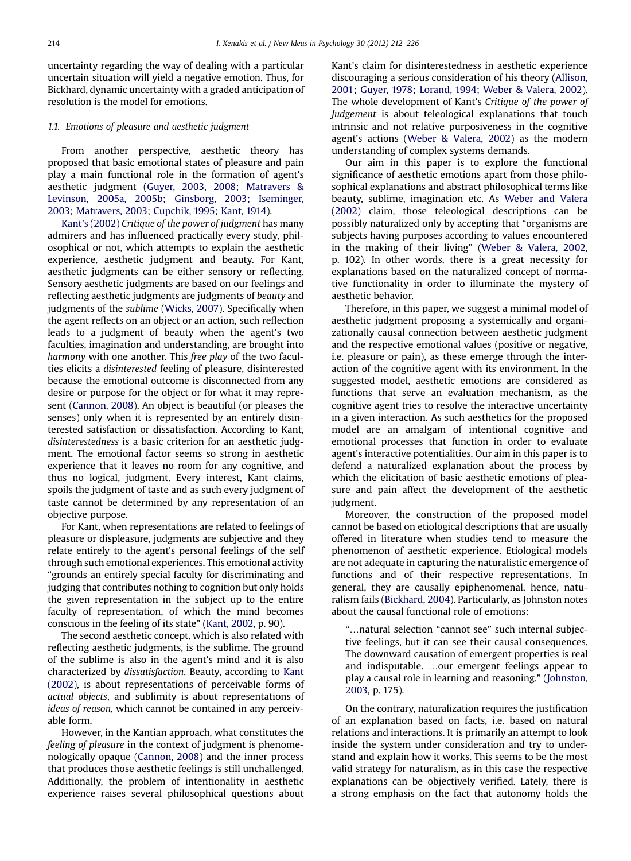uncertainty regarding the way of dealing with a particular uncertain situation will yield a negative emotion. Thus, for Bickhard, dynamic uncertainty with a graded anticipation of resolution is the model for emotions.

# 1.1. Emotions of pleasure and aesthetic judgment

From another perspective, aesthetic theory has proposed that basic emotional states of pleasure and pain play a main functional role in the formation of agent's aesthetic judgment ([Guyer, 2003, 2008; Matravers &](#page-14-0) [Levinson, 2005a, 2005b; Ginsborg, 2003; Iseminger,](#page-14-0) [2003; Matravers, 2003; Cupchik, 1995; Kant, 1914\)](#page-14-0).

Kant'[s \(2002\)](#page-14-0) Critique of the power of judgment has many admirers and has influenced practically every study, philosophical or not, which attempts to explain the aesthetic experience, aesthetic judgment and beauty. For Kant, aesthetic judgments can be either sensory or reflecting. Sensory aesthetic judgments are based on our feelings and reflecting aesthetic judgments are judgments of beauty and judgments of the *sublime* [\(Wicks, 2007\)](#page-14-0). Specifically when the agent reflects on an object or an action, such reflection leads to a judgment of beauty when the agent's two faculties, imagination and understanding, are brought into harmony with one another. This free play of the two faculties elicits a disinterested feeling of pleasure, disinterested because the emotional outcome is disconnected from any desire or purpose for the object or for what it may represent ([Cannon, 2008](#page-13-0)). An object is beautiful (or pleases the senses) only when it is represented by an entirely disinterested satisfaction or dissatisfaction. According to Kant, disinterestedness is a basic criterion for an aesthetic judgment. The emotional factor seems so strong in aesthetic experience that it leaves no room for any cognitive, and thus no logical, judgment. Every interest, Kant claims, spoils the judgment of taste and as such every judgment of taste cannot be determined by any representation of an objective purpose.

For Kant, when representations are related to feelings of pleasure or displeasure, judgments are subjective and they relate entirely to the agent's personal feelings of the self through such emotional experiences. This emotional activity "grounds an entirely special faculty for discriminating and judging that contributes nothing to cognition but only holds the given representation in the subject up to the entire faculty of representation, of which the mind becomes conscious in the feeling of its state" [\(Kant, 2002,](#page-14-0) p. 90).

The second aesthetic concept, which is also related with reflecting aesthetic judgments, is the sublime. The ground of the sublime is also in the agent's mind and it is also characterized by dissatisfaction. Beauty, according to [Kant](#page-14-0) [\(2002\)](#page-14-0), is about representations of perceivable forms of actual objects, and sublimity is about representations of ideas of reason, which cannot be contained in any perceivable form.

However, in the Kantian approach, what constitutes the feeling of pleasure in the context of judgment is phenomenologically opaque ([Cannon, 2008\)](#page-13-0) and the inner process that produces those aesthetic feelings is still unchallenged. Additionally, the problem of intentionality in aesthetic experience raises several philosophical questions about

Kant's claim for disinterestedness in aesthetic experience discouraging a serious consideration of his theory ([Allison,](#page-13-0) [2001; Guyer, 1978; Lorand, 1994; Weber & Valera, 2002](#page-13-0)). The whole development of Kant's Critique of the power of Judgement is about teleological explanations that touch intrinsic and not relative purposiveness in the cognitive agent's actions ([Weber & Valera, 2002\)](#page-14-0) as the modern understanding of complex systems demands.

Our aim in this paper is to explore the functional significance of aesthetic emotions apart from those philosophical explanations and abstract philosophical terms like beauty, sublime, imagination etc. As [Weber and Valera](#page-14-0) [\(2002\)](#page-14-0) claim, those teleological descriptions can be possibly naturalized only by accepting that "organisms are subjects having purposes according to values encountered in the making of their living" ([Weber & Valera, 2002](#page-14-0), p. 102). In other words, there is a great necessity for explanations based on the naturalized concept of normative functionality in order to illuminate the mystery of aesthetic behavior.

Therefore, in this paper, we suggest a minimal model of aesthetic judgment proposing a systemically and organizationally causal connection between aesthetic judgment and the respective emotional values (positive or negative, i.e. pleasure or pain), as these emerge through the interaction of the cognitive agent with its environment. In the suggested model, aesthetic emotions are considered as functions that serve an evaluation mechanism, as the cognitive agent tries to resolve the interactive uncertainty in a given interaction. As such aesthetics for the proposed model are an amalgam of intentional cognitive and emotional processes that function in order to evaluate agent's interactive potentialities. Our aim in this paper is to defend a naturalized explanation about the process by which the elicitation of basic aesthetic emotions of pleasure and pain affect the development of the aesthetic judgment.

Moreover, the construction of the proposed model cannot be based on etiological descriptions that are usually offered in literature when studies tend to measure the phenomenon of aesthetic experience. Etiological models are not adequate in capturing the naturalistic emergence of functions and of their respective representations. In general, they are causally epiphenomenal, hence, naturalism fails [\(Bickhard, 2004](#page-13-0)). Particularly, as Johnston notes about the causal functional role of emotions:

"...natural selection "cannot see" such internal subjective feelings, but it can see their causal consequences. The downward causation of emergent properties is real and indisputable. ...our emergent feelings appear to play a causal role in learning and reasoning." [\(Johnston,](#page-14-0) [2003](#page-14-0), p. 175).

On the contrary, naturalization requires the justification of an explanation based on facts, i.e. based on natural relations and interactions. It is primarily an attempt to look inside the system under consideration and try to understand and explain how it works. This seems to be the most valid strategy for naturalism, as in this case the respective explanations can be objectively verified. Lately, there is a strong emphasis on the fact that autonomy holds the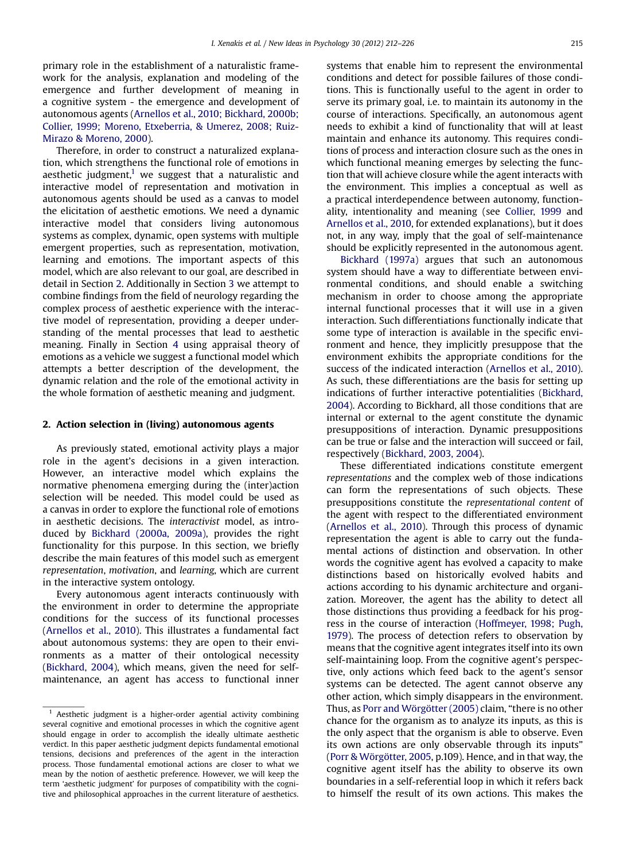<span id="page-3-0"></span>primary role in the establishment of a naturalistic framework for the analysis, explanation and modeling of the emergence and further development of meaning in a cognitive system - the emergence and development of autonomous agents ([Arnellos et al., 2010; Bickhard, 2000b;](#page-13-0) [Collier, 1999; Moreno, Etxeberria, & Umerez, 2008; Ruiz-](#page-13-0)[Mirazo & Moreno, 2000](#page-13-0)).

Therefore, in order to construct a naturalized explanation, which strengthens the functional role of emotions in aesthetic judgment,<sup>1</sup> we suggest that a naturalistic and interactive model of representation and motivation in autonomous agents should be used as a canvas to model the elicitation of aesthetic emotions. We need a dynamic interactive model that considers living autonomous systems as complex, dynamic, open systems with multiple emergent properties, such as representation, motivation, learning and emotions. The important aspects of this model, which are also relevant to our goal, are described in detail in Section 2. Additionally in Section [3](#page-4-0) we attempt to combine findings from the field of neurology regarding the complex process of aesthetic experience with the interactive model of representation, providing a deeper understanding of the mental processes that lead to aesthetic meaning. Finally in Section [4](#page-7-0) using appraisal theory of emotions as a vehicle we suggest a functional model which attempts a better description of the development, the dynamic relation and the role of the emotional activity in the whole formation of aesthetic meaning and judgment.

# 2. Action selection in (living) autonomous agents

As previously stated, emotional activity plays a major role in the agent's decisions in a given interaction. However, an interactive model which explains the normative phenomena emerging during the (inter)action selection will be needed. This model could be used as a canvas in order to explore the functional role of emotions in aesthetic decisions. The interactivist model, as introduced by [Bickhard \(2000a, 2009a\),](#page-13-0) provides the right functionality for this purpose. In this section, we briefly describe the main features of this model such as emergent representation, motivation, and learning, which are current in the interactive system ontology.

Every autonomous agent interacts continuously with the environment in order to determine the appropriate conditions for the success of its functional processes ([Arnellos et al., 2010](#page-13-0)). This illustrates a fundamental fact about autonomous systems: they are open to their environments as a matter of their ontological necessity ([Bickhard, 2004](#page-13-0)), which means, given the need for selfmaintenance, an agent has access to functional inner systems that enable him to represent the environmental conditions and detect for possible failures of those conditions. This is functionally useful to the agent in order to serve its primary goal, i.e. to maintain its autonomy in the course of interactions. Specifically, an autonomous agent needs to exhibit a kind of functionality that will at least maintain and enhance its autonomy. This requires conditions of process and interaction closure such as the ones in which functional meaning emerges by selecting the function that will achieve closure while the agent interacts with the environment. This implies a conceptual as well as a practical interdependence between autonomy, functionality, intentionality and meaning (see [Collier, 1999](#page-13-0) and [Arnellos et al., 2010](#page-13-0), for extended explanations), but it does not, in any way, imply that the goal of self-maintenance should be explicitly represented in the autonomous agent.

[Bickhard \(1997a\)](#page-13-0) argues that such an autonomous system should have a way to differentiate between environmental conditions, and should enable a switching mechanism in order to choose among the appropriate internal functional processes that it will use in a given interaction. Such differentiations functionally indicate that some type of interaction is available in the specific environment and hence, they implicitly presuppose that the environment exhibits the appropriate conditions for the success of the indicated interaction ([Arnellos et al., 2010](#page-13-0)). As such, these differentiations are the basis for setting up indications of further interactive potentialities [\(Bickhard,](#page-13-0) [2004](#page-13-0)). According to Bickhard, all those conditions that are internal or external to the agent constitute the dynamic presuppositions of interaction. Dynamic presuppositions can be true or false and the interaction will succeed or fail, respectively ([Bickhard, 2003, 2004](#page-13-0)).

These differentiated indications constitute emergent representations and the complex web of those indications can form the representations of such objects. These presuppositions constitute the representational content of the agent with respect to the differentiated environment ([Arnellos et al., 2010](#page-13-0)). Through this process of dynamic representation the agent is able to carry out the fundamental actions of distinction and observation. In other words the cognitive agent has evolved a capacity to make distinctions based on historically evolved habits and actions according to his dynamic architecture and organization. Moreover, the agent has the ability to detect all those distinctions thus providing a feedback for his progress in the course of interaction [\(Hoffmeyer, 1998; Pugh,](#page-14-0) [1979](#page-14-0)). The process of detection refers to observation by means that the cognitive agent integrates itself into its own self-maintaining loop. From the cognitive agent's perspective, only actions which feed back to the agent's sensor systems can be detected. The agent cannot observe any other action, which simply disappears in the environment. Thus, as [Porr and Wörgötter \(2005\)](#page-14-0) claim, "there is no other chance for the organism as to analyze its inputs, as this is the only aspect that the organism is able to observe. Even its own actions are only observable through its inputs" ([Porr & Wörgötter, 2005](#page-14-0), p.109). Hence, and in that way, the cognitive agent itself has the ability to observe its own boundaries in a self-referential loop in which it refers back to himself the result of its own actions. This makes the

 $1$  Aesthetic judgment is a higher-order agential activity combining several cognitive and emotional processes in which the cognitive agent should engage in order to accomplish the ideally ultimate aesthetic verdict. In this paper aesthetic judgment depicts fundamental emotional tensions, decisions and preferences of the agent in the interaction process. Those fundamental emotional actions are closer to what we mean by the notion of aesthetic preference. However, we will keep the term 'aesthetic judgment' for purposes of compatibility with the cognitive and philosophical approaches in the current literature of aesthetics.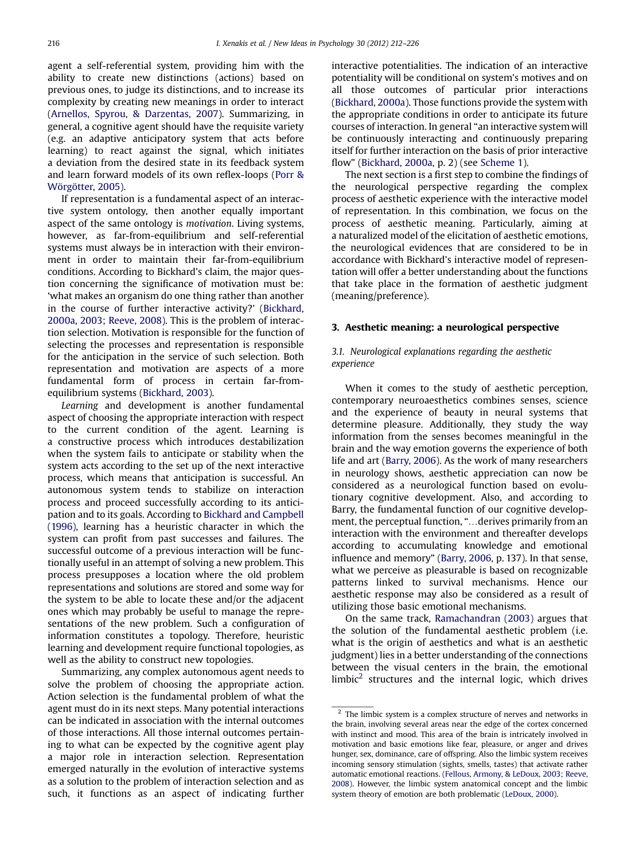<span id="page-4-0"></span>agent a self-referential system, providing him with the ability to create new distinctions (actions) based on previous ones, to judge its distinctions, and to increase its complexity by creating new meanings in order to interact [\(Arnellos, Spyrou, & Darzentas, 2007](#page-13-0)). Summarizing, in general, a cognitive agent should have the requisite variety (e.g. an adaptive anticipatory system that acts before learning) to react against the signal, which initiates a deviation from the desired state in its feedback system and learn forward models of its own reflex-loops ([Porr &](#page-14-0) [Wörgötter, 2005\)](#page-14-0).

If representation is a fundamental aspect of an interactive system ontology, then another equally important aspect of the same ontology is motivation. Living systems, however, as far-from-equilibrium and self-referential systems must always be in interaction with their environment in order to maintain their far-from-equilibrium conditions. According to Bickhard's claim, the major question concerning the significance of motivation must be: 'what makes an organism do one thing rather than another in the course of further interactive activity?' [\(Bickhard,](#page-13-0) [2000a, 2003; Reeve, 2008\)](#page-13-0). This is the problem of interaction selection. Motivation is responsible for the function of selecting the processes and representation is responsible for the anticipation in the service of such selection. Both representation and motivation are aspects of a more fundamental form of process in certain far-fromequilibrium systems [\(Bickhard, 2003](#page-13-0)).

Learning and development is another fundamental aspect of choosing the appropriate interaction with respect to the current condition of the agent. Learning is a constructive process which introduces destabilization when the system fails to anticipate or stability when the system acts according to the set up of the next interactive process, which means that anticipation is successful. An autonomous system tends to stabilize on interaction process and proceed successfully according to its anticipation and to its goals. According to [Bickhard and Campbell](#page-13-0) [\(1996\),](#page-13-0) learning has a heuristic character in which the system can profit from past successes and failures. The successful outcome of a previous interaction will be functionally useful in an attempt of solving a new problem. This process presupposes a location where the old problem representations and solutions are stored and some way for the system to be able to locate these and/or the adjacent ones which may probably be useful to manage the representations of the new problem. Such a configuration of information constitutes a topology. Therefore, heuristic learning and development require functional topologies, as well as the ability to construct new topologies.

Summarizing, any complex autonomous agent needs to solve the problem of choosing the appropriate action. Action selection is the fundamental problem of what the agent must do in its next steps. Many potential interactions can be indicated in association with the internal outcomes of those interactions. All those internal outcomes pertaining to what can be expected by the cognitive agent play a major role in interaction selection. Representation emerged naturally in the evolution of interactive systems as a solution to the problem of interaction selection and as such, it functions as an aspect of indicating further interactive potentialities. The indication of an interactive potentiality will be conditional on system's motives and on all those outcomes of particular prior interactions [\(Bickhard, 2000a\)](#page-13-0). Those functions provide the system with the appropriate conditions in order to anticipate its future courses of interaction. In general "an interactive system will be continuously interacting and continuously preparing itself for further interaction on the basis of prior interactive flow" [\(Bickhard, 2000a](#page-13-0), p. 2) (see [Scheme 1\)](#page-5-0).

The next section is a first step to combine the findings of the neurological perspective regarding the complex process of aesthetic experience with the interactive model of representation. In this combination, we focus on the process of aesthetic meaning. Particularly, aiming at a naturalized model of the elicitation of aesthetic emotions, the neurological evidences that are considered to be in accordance with Bickhard's interactive model of representation will offer a better understanding about the functions that take place in the formation of aesthetic judgment (meaning/preference).

# 3. Aesthetic meaning: a neurological perspective

# 3.1. Neurological explanations regarding the aesthetic experience

When it comes to the study of aesthetic perception, contemporary neuroaesthetics combines senses, science and the experience of beauty in neural systems that determine pleasure. Additionally, they study the way information from the senses becomes meaningful in the brain and the way emotion governs the experience of both life and art ([Barry, 2006](#page-13-0)). As the work of many researchers in neurology shows, aesthetic appreciation can now be considered as a neurological function based on evolutionary cognitive development. Also, and according to Barry, the fundamental function of our cognitive development, the perceptual function, "...derives primarily from an interaction with the environment and thereafter develops according to accumulating knowledge and emotional influence and memory" ([Barry, 2006](#page-13-0), p. 137). In that sense, what we perceive as pleasurable is based on recognizable patterns linked to survival mechanisms. Hence our aesthetic response may also be considered as a result of utilizing those basic emotional mechanisms.

On the same track, [Ramachandran \(2003\)](#page-14-0) argues that the solution of the fundamental aesthetic problem (i.e. what is the origin of aesthetics and what is an aesthetic judgment) lies in a better understanding of the connections between the visual centers in the brain, the emotional  $limbic<sup>2</sup>$  structures and the internal logic, which drives

<sup>&</sup>lt;sup>2</sup> The limbic system is a complex structure of nerves and networks in the brain, involving several areas near the edge of the cortex concerned with instinct and mood. This area of the brain is intricately involved in motivation and basic emotions like fear, pleasure, or anger and drives hunger, sex, dominance, care of offspring. Also the limbic system receives incoming sensory stimulation (sights, smells, tastes) that activate rather automatic emotional reactions. [\(Fellous, Armony, & LeDoux, 2003; Reeve,](#page-14-0) [2008\)](#page-14-0). However, the limbic system anatomical concept and the limbic system theory of emotion are both problematic ([LeDoux, 2000\)](#page-14-0).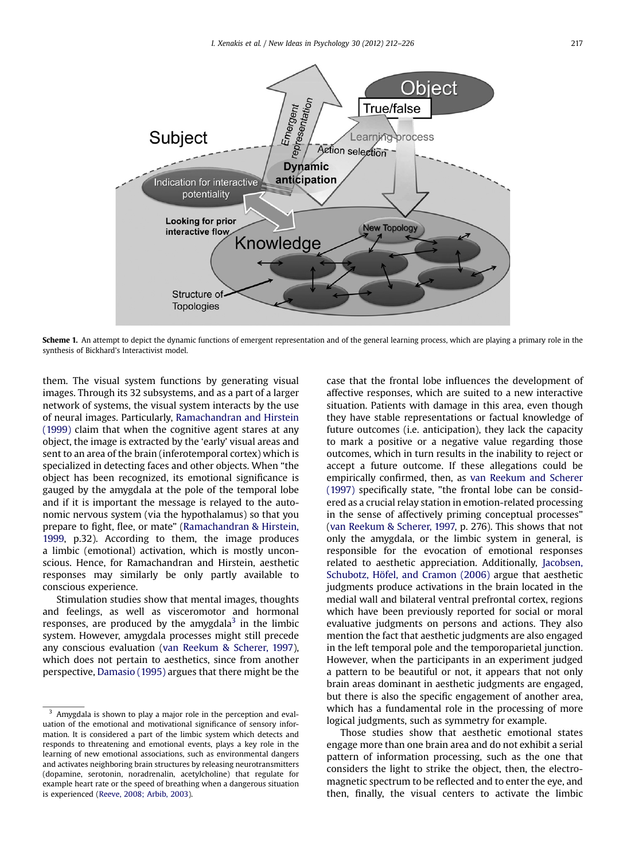<span id="page-5-0"></span>

Scheme 1. An attempt to depict the dynamic functions of emergent representation and of the general learning process, which are playing a primary role in the synthesis of Bickhard's Interactivist model.

them. The visual system functions by generating visual images. Through its 32 subsystems, and as a part of a larger network of systems, the visual system interacts by the use of neural images. Particularly, [Ramachandran and Hirstein](#page-14-0) [\(1999\)](#page-14-0) claim that when the cognitive agent stares at any object, the image is extracted by the 'early' visual areas and sent to an area of the brain (inferotemporal cortex) which is specialized in detecting faces and other objects. When "the object has been recognized, its emotional significance is gauged by the amygdala at the pole of the temporal lobe and if it is important the message is relayed to the autonomic nervous system (via the hypothalamus) so that you prepare to fight, flee, or mate" [\(Ramachandran & Hirstein,](#page-14-0) [1999](#page-14-0), p.32). According to them, the image produces a limbic (emotional) activation, which is mostly unconscious. Hence, for Ramachandran and Hirstein, aesthetic responses may similarly be only partly available to conscious experience.

Stimulation studies show that mental images, thoughts and feelings, as well as visceromotor and hormonal responses, are produced by the amygdala $3$  in the limbic system. However, amygdala processes might still precede any conscious evaluation ([van Reekum & Scherer, 1997](#page-14-0)), which does not pertain to aesthetics, since from another perspective, [Damasio \(1995\)](#page-13-0) argues that there might be the case that the frontal lobe influences the development of affective responses, which are suited to a new interactive situation. Patients with damage in this area, even though they have stable representations or factual knowledge of future outcomes (i.e. anticipation), they lack the capacity to mark a positive or a negative value regarding those outcomes, which in turn results in the inability to reject or accept a future outcome. If these allegations could be empirically confirmed, then, as [van Reekum and Scherer](#page-14-0) [\(1997\)](#page-14-0) specifically state, "the frontal lobe can be considered as a crucial relay station in emotion-related processing in the sense of affectively priming conceptual processes" ([van Reekum & Scherer, 1997,](#page-14-0) p. 276). This shows that not only the amygdala, or the limbic system in general, is responsible for the evocation of emotional responses related to aesthetic appreciation. Additionally, [Jacobsen,](#page-14-0) [Schubotz, Höfel, and Cramon \(2006\)](#page-14-0) argue that aesthetic judgments produce activations in the brain located in the medial wall and bilateral ventral prefrontal cortex, regions which have been previously reported for social or moral evaluative judgments on persons and actions. They also mention the fact that aesthetic judgments are also engaged in the left temporal pole and the temporoparietal junction. However, when the participants in an experiment judged a pattern to be beautiful or not, it appears that not only brain areas dominant in aesthetic judgments are engaged, but there is also the specific engagement of another area, which has a fundamental role in the processing of more logical judgments, such as symmetry for example.

Those studies show that aesthetic emotional states engage more than one brain area and do not exhibit a serial pattern of information processing, such as the one that considers the light to strike the object, then, the electromagnetic spectrum to be reflected and to enter the eye, and then, finally, the visual centers to activate the limbic

<sup>&</sup>lt;sup>3</sup> Amygdala is shown to play a major role in the perception and evaluation of the emotional and motivational significance of sensory information. It is considered a part of the limbic system which detects and responds to threatening and emotional events, plays a key role in the learning of new emotional associations, such as environmental dangers and activates neighboring brain structures by releasing neurotransmitters (dopamine, serotonin, noradrenalin, acetylcholine) that regulate for example heart rate or the speed of breathing when a dangerous situation is experienced [\(Reeve, 2008; Arbib, 2003\)](#page-14-0).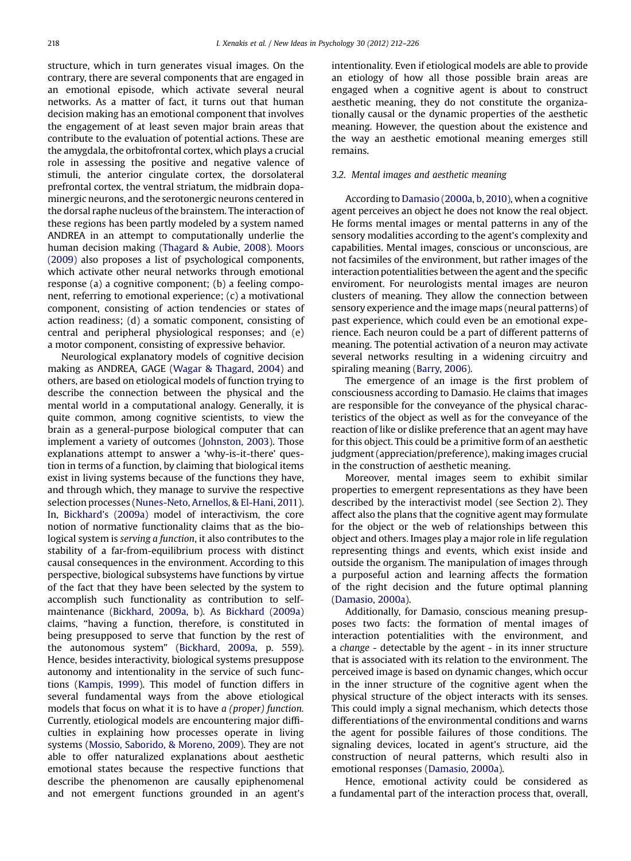structure, which in turn generates visual images. On the contrary, there are several components that are engaged in an emotional episode, which activate several neural networks. As a matter of fact, it turns out that human decision making has an emotional component that involves the engagement of at least seven major brain areas that contribute to the evaluation of potential actions. These are the amygdala, the orbitofrontal cortex, which plays a crucial role in assessing the positive and negative valence of stimuli, the anterior cingulate cortex, the dorsolateral prefrontal cortex, the ventral striatum, the midbrain dopaminergic neurons, and the serotonergic neurons centered in the dorsal raphe nucleus of the brainstem. The interaction of these regions has been partly modeled by a system named ANDREA in an attempt to computationally underlie the human decision making ([Thagard & Aubie, 2008](#page-14-0)). [Moors](#page-14-0) [\(2009\)](#page-14-0) also proposes a list of psychological components, which activate other neural networks through emotional response (a) a cognitive component; (b) a feeling component, referring to emotional experience; (c) a motivational component, consisting of action tendencies or states of action readiness; (d) a somatic component, consisting of central and peripheral physiological responses; and (e) a motor component, consisting of expressive behavior.

Neurological explanatory models of cognitive decision making as ANDREA, GAGE [\(Wagar & Thagard, 2004\)](#page-14-0) and others, are based on etiological models of function trying to describe the connection between the physical and the mental world in a computational analogy. Generally, it is quite common, among cognitive scientists, to view the brain as a general-purpose biological computer that can implement a variety of outcomes ([Johnston, 2003](#page-14-0)). Those explanations attempt to answer a 'why-is-it-there' question in terms of a function, by claiming that biological items exist in living systems because of the functions they have, and through which, they manage to survive the respective selection processes [\(Nunes-Neto, Arnellos, & El-Hani, 2011](#page-14-0)). In, Bickhard'[s \(2009a\)](#page-13-0) model of interactivism, the core notion of normative functionality claims that as the biological system is serving a function, it also contributes to the stability of a far-from-equilibrium process with distinct causal consequences in the environment. According to this perspective, biological subsystems have functions by virtue of the fact that they have been selected by the system to accomplish such functionality as contribution to selfmaintenance ([Bickhard, 2009a, b\)](#page-13-0). As [Bickhard \(2009a\)](#page-13-0) claims, "having a function, therefore, is constituted in being presupposed to serve that function by the rest of the autonomous system" ([Bickhard, 2009a](#page-13-0), p. 559). Hence, besides interactivity, biological systems presuppose autonomy and intentionality in the service of such functions [\(Kampis, 1999\)](#page-14-0). This model of function differs in several fundamental ways from the above etiological models that focus on what it is to have a (proper) function. Currently, etiological models are encountering major difficulties in explaining how processes operate in living systems ([Mossio, Saborido, & Moreno, 2009](#page-14-0)). They are not able to offer naturalized explanations about aesthetic emotional states because the respective functions that describe the phenomenon are causally epiphenomenal and not emergent functions grounded in an agent's

intentionality. Even if etiological models are able to provide an etiology of how all those possible brain areas are engaged when a cognitive agent is about to construct aesthetic meaning, they do not constitute the organizationally causal or the dynamic properties of the aesthetic meaning. However, the question about the existence and the way an aesthetic emotional meaning emerges still remains.

# 3.2. Mental images and aesthetic meaning

According to [Damasio \(2000a, b, 2010\),](#page-13-0) when a cognitive agent perceives an object he does not know the real object. He forms mental images or mental patterns in any of the sensory modalities according to the agent's complexity and capabilities. Mental images, conscious or unconscious, are not facsimiles of the environment, but rather images of the interaction potentialities between the agent and the specific enviroment. For neurologists mental images are neuron clusters of meaning. They allow the connection between sensory experience and the image maps (neural patterns) of past experience, which could even be an emotional experience. Each neuron could be a part of different patterns of meaning. The potential activation of a neuron may activate several networks resulting in a widening circuitry and spiraling meaning [\(Barry, 2006\)](#page-13-0).

The emergence of an image is the first problem of consciousness according to Damasio. He claims that images are responsible for the conveyance of the physical characteristics of the object as well as for the conveyance of the reaction of like or dislike preference that an agent may have for this object. This could be a primitive form of an aesthetic judgment (appreciation/preference), making images crucial in the construction of aesthetic meaning.

Moreover, mental images seem to exhibit similar properties to emergent representations as they have been described by the interactivist model (see Section [2](#page-3-0)). They affect also the plans that the cognitive agent may formulate for the object or the web of relationships between this object and others. Images play a major role in life regulation representing things and events, which exist inside and outside the organism. The manipulation of images through a purposeful action and learning affects the formation of the right decision and the future optimal planning [\(Damasio, 2000a\)](#page-13-0).

Additionally, for Damasio, conscious meaning presupposes two facts: the formation of mental images of interaction potentialities with the environment, and a change - detectable by the agent - in its inner structure that is associated with its relation to the environment. The perceived image is based on dynamic changes, which occur in the inner structure of the cognitive agent when the physical structure of the object interacts with its senses. This could imply a signal mechanism, which detects those differentiations of the environmental conditions and warns the agent for possible failures of those conditions. The signaling devices, located in agent's structure, aid the construction of neural patterns, which resulti also in emotional responses ([Damasio, 2000a](#page-13-0)).

Hence, emotional activity could be considered as a fundamental part of the interaction process that, overall,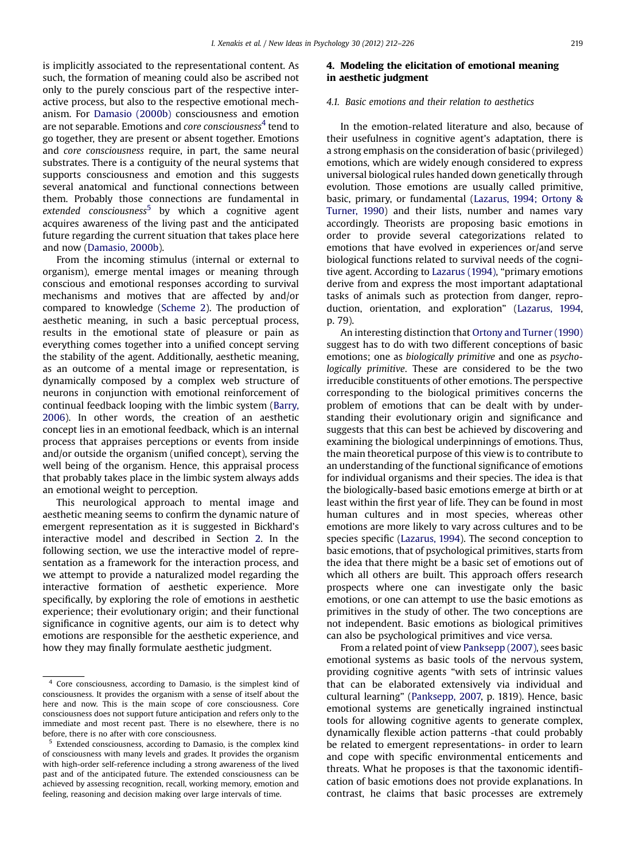<span id="page-7-0"></span>is implicitly associated to the representational content. As such, the formation of meaning could also be ascribed not only to the purely conscious part of the respective interactive process, but also to the respective emotional mechanism. For [Damasio \(2000b\)](#page-13-0) consciousness and emotion are not separable. Emotions and *core consciousness* $4$  tend to go together, they are present or absent together. Emotions and core consciousness require, in part, the same neural substrates. There is a contiguity of the neural systems that supports consciousness and emotion and this suggests several anatomical and functional connections between them. Probably those connections are fundamental in  $extended$  consciousness<sup>5</sup> by which a cognitive agent acquires awareness of the living past and the anticipated future regarding the current situation that takes place here and now ([Damasio, 2000b\)](#page-13-0).

From the incoming stimulus (internal or external to organism), emerge mental images or meaning through conscious and emotional responses according to survival mechanisms and motives that are affected by and/or compared to knowledge [\(Scheme 2\)](#page-8-0). The production of aesthetic meaning, in such a basic perceptual process, results in the emotional state of pleasure or pain as everything comes together into a unified concept serving the stability of the agent. Additionally, aesthetic meaning, as an outcome of a mental image or representation, is dynamically composed by a complex web structure of neurons in conjunction with emotional reinforcement of continual feedback looping with the limbic system [\(Barry,](#page-13-0) [2006](#page-13-0)). In other words, the creation of an aesthetic concept lies in an emotional feedback, which is an internal process that appraises perceptions or events from inside and/or outside the organism (unified concept), serving the well being of the organism. Hence, this appraisal process that probably takes place in the limbic system always adds an emotional weight to perception.

This neurological approach to mental image and aesthetic meaning seems to confirm the dynamic nature of emergent representation as it is suggested in Bickhard's interactive model and described in Section [2](#page-3-0). In the following section, we use the interactive model of representation as a framework for the interaction process, and we attempt to provide a naturalized model regarding the interactive formation of aesthetic experience. More specifically, by exploring the role of emotions in aesthetic experience; their evolutionary origin; and their functional significance in cognitive agents, our aim is to detect why emotions are responsible for the aesthetic experience, and how they may finally formulate aesthetic judgment.

# 4. Modeling the elicitation of emotional meaning in aesthetic judgment

# 4.1. Basic emotions and their relation to aesthetics

In the emotion-related literature and also, because of their usefulness in cognitive agent's adaptation, there is a strong emphasis on the consideration of basic (privileged) emotions, which are widely enough considered to express universal biological rules handed down genetically through evolution. Those emotions are usually called primitive, basic, primary, or fundamental ([Lazarus, 1994; Ortony &](#page-14-0) [Turner, 1990\)](#page-14-0) and their lists, number and names vary accordingly. Theorists are proposing basic emotions in order to provide several categorizations related to emotions that have evolved in experiences or/and serve biological functions related to survival needs of the cognitive agent. According to [Lazarus \(1994\),](#page-14-0) "primary emotions derive from and express the most important adaptational tasks of animals such as protection from danger, reproduction, orientation, and exploration" ([Lazarus, 1994](#page-14-0), p. 79).

An interesting distinction that [Ortony and Turner \(1990\)](#page-14-0) suggest has to do with two different conceptions of basic emotions; one as biologically primitive and one as psychologically primitive. These are considered to be the two irreducible constituents of other emotions. The perspective corresponding to the biological primitives concerns the problem of emotions that can be dealt with by understanding their evolutionary origin and significance and suggests that this can best be achieved by discovering and examining the biological underpinnings of emotions. Thus, the main theoretical purpose of this view is to contribute to an understanding of the functional significance of emotions for individual organisms and their species. The idea is that the biologically-based basic emotions emerge at birth or at least within the first year of life. They can be found in most human cultures and in most species, whereas other emotions are more likely to vary across cultures and to be species specific ([Lazarus, 1994](#page-14-0)). The second conception to basic emotions, that of psychological primitives, starts from the idea that there might be a basic set of emotions out of which all others are built. This approach offers research prospects where one can investigate only the basic emotions, or one can attempt to use the basic emotions as primitives in the study of other. The two conceptions are not independent. Basic emotions as biological primitives can also be psychological primitives and vice versa.

From a related point of view [Panksepp \(2007\),](#page-14-0) sees basic emotional systems as basic tools of the nervous system, providing cognitive agents "with sets of intrinsic values that can be elaborated extensively via individual and cultural learning" [\(Panksepp, 2007,](#page-14-0) p. 1819). Hence, basic emotional systems are genetically ingrained instinctual tools for allowing cognitive agents to generate complex, dynamically flexible action patterns -that could probably be related to emergent representations- in order to learn and cope with specific environmental enticements and threats. What he proposes is that the taxonomic identification of basic emotions does not provide explanations. In contrast, he claims that basic processes are extremely

<sup>4</sup> Core consciousness, according to Damasio, is the simplest kind of consciousness. It provides the organism with a sense of itself about the here and now. This is the main scope of core consciousness. Core consciousness does not support future anticipation and refers only to the immediate and most recent past. There is no elsewhere, there is no before, there is no after with core consciousness.

<sup>5</sup> Extended consciousness, according to Damasio, is the complex kind of consciousness with many levels and grades. It provides the organism with high-order self-reference including a strong awareness of the lived past and of the anticipated future. The extended consciousness can be achieved by assessing recognition, recall, working memory, emotion and feeling, reasoning and decision making over large intervals of time.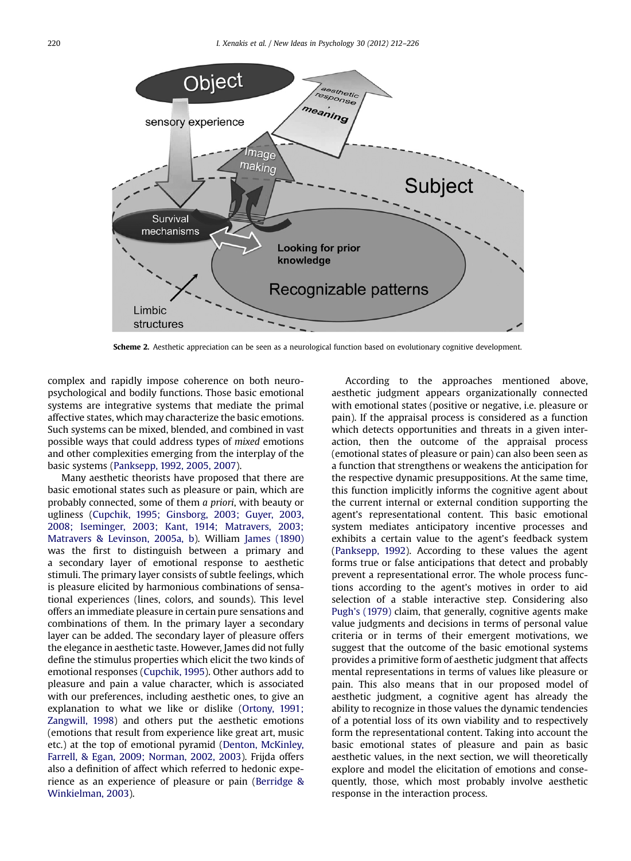<span id="page-8-0"></span>

Scheme 2. Aesthetic appreciation can be seen as a neurological function based on evolutionary cognitive development.

complex and rapidly impose coherence on both neuropsychological and bodily functions. Those basic emotional systems are integrative systems that mediate the primal affective states, which may characterize the basic emotions. Such systems can be mixed, blended, and combined in vast possible ways that could address types of mixed emotions and other complexities emerging from the interplay of the basic systems [\(Panksepp, 1992, 2005, 2007\)](#page-14-0).

Many aesthetic theorists have proposed that there are basic emotional states such as pleasure or pain, which are probably connected, some of them a priori, with beauty or ugliness [\(Cupchik, 1995; Ginsborg, 2003; Guyer, 2003,](#page-13-0) [2008; Iseminger, 2003; Kant, 1914; Matravers, 2003;](#page-13-0) [Matravers & Levinson, 2005a, b\)](#page-13-0). William [James \(1890\)](#page-14-0) was the first to distinguish between a primary and a secondary layer of emotional response to aesthetic stimuli. The primary layer consists of subtle feelings, which is pleasure elicited by harmonious combinations of sensational experiences (lines, colors, and sounds). This level offers an immediate pleasure in certain pure sensations and combinations of them. In the primary layer a secondary layer can be added. The secondary layer of pleasure offers the elegance in aesthetic taste. However, James did not fully define the stimulus properties which elicit the two kinds of emotional responses [\(Cupchik, 1995\)](#page-13-0). Other authors add to pleasure and pain a value character, which is associated with our preferences, including aesthetic ones, to give an explanation to what we like or dislike [\(Ortony, 1991;](#page-14-0) [Zangwill, 1998](#page-14-0)) and others put the aesthetic emotions (emotions that result from experience like great art, music etc.) at the top of emotional pyramid [\(Denton, McKinley,](#page-14-0) [Farrell, & Egan, 2009; Norman, 2002, 2003](#page-14-0)). Frijda offers also a definition of affect which referred to hedonic experience as an experience of pleasure or pain ([Berridge &](#page-13-0) [Winkielman, 2003](#page-13-0)).

According to the approaches mentioned above, aesthetic judgment appears organizationally connected with emotional states (positive or negative, i.e. pleasure or pain). If the appraisal process is considered as a function which detects opportunities and threats in a given interaction, then the outcome of the appraisal process (emotional states of pleasure or pain) can also been seen as a function that strengthens or weakens the anticipation for the respective dynamic presuppositions. At the same time, this function implicitly informs the cognitive agent about the current internal or external condition supporting the agent's representational content. This basic emotional system mediates anticipatory incentive processes and exhibits a certain value to the agent's feedback system [\(Panksepp, 1992](#page-14-0)). According to these values the agent forms true or false anticipations that detect and probably prevent a representational error. The whole process functions according to the agent's motives in order to aid selection of a stable interactive step. Considering also Pugh'[s \(1979\)](#page-14-0) claim, that generally, cognitive agents make value judgments and decisions in terms of personal value criteria or in terms of their emergent motivations, we suggest that the outcome of the basic emotional systems provides a primitive form of aesthetic judgment that affects mental representations in terms of values like pleasure or pain. This also means that in our proposed model of aesthetic judgment, a cognitive agent has already the ability to recognize in those values the dynamic tendencies of a potential loss of its own viability and to respectively form the representational content. Taking into account the basic emotional states of pleasure and pain as basic aesthetic values, in the next section, we will theoretically explore and model the elicitation of emotions and consequently, those, which most probably involve aesthetic response in the interaction process.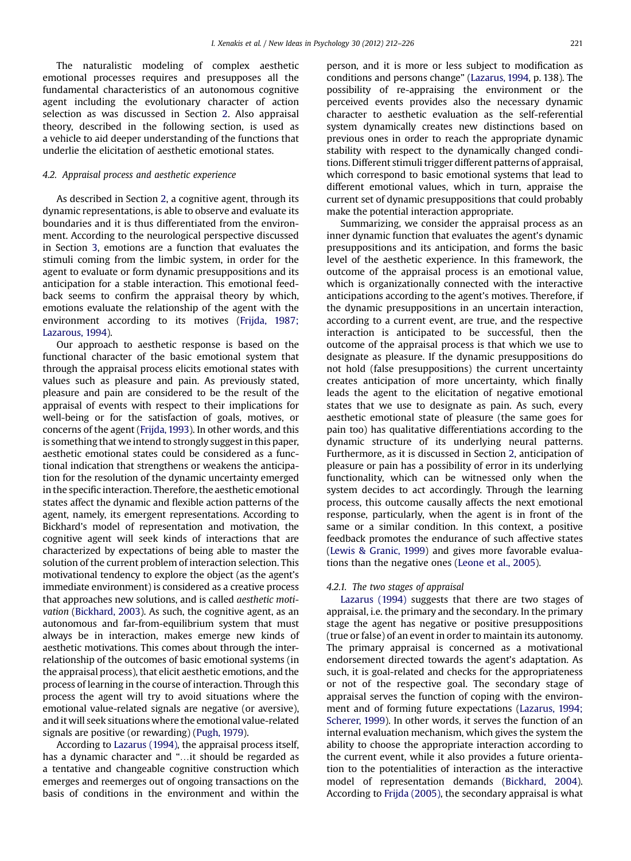The naturalistic modeling of complex aesthetic emotional processes requires and presupposes all the fundamental characteristics of an autonomous cognitive agent including the evolutionary character of action selection as was discussed in Section [2.](#page-3-0) Also appraisal theory, described in the following section, is used as a vehicle to aid deeper understanding of the functions that underlie the elicitation of aesthetic emotional states.

# 4.2. Appraisal process and aesthetic experience

As described in Section [2](#page-3-0), a cognitive agent, through its dynamic representations, is able to observe and evaluate its boundaries and it is thus differentiated from the environment. According to the neurological perspective discussed in Section [3](#page-4-0), emotions are a function that evaluates the stimuli coming from the limbic system, in order for the agent to evaluate or form dynamic presuppositions and its anticipation for a stable interaction. This emotional feedback seems to confirm the appraisal theory by which, emotions evaluate the relationship of the agent with the environment according to its motives [\(Frijda, 1987;](#page-14-0) [Lazarous, 1994](#page-14-0)).

Our approach to aesthetic response is based on the functional character of the basic emotional system that through the appraisal process elicits emotional states with values such as pleasure and pain. As previously stated, pleasure and pain are considered to be the result of the appraisal of events with respect to their implications for well-being or for the satisfaction of goals, motives, or concerns of the agent [\(Frijda, 1993](#page-14-0)). In other words, and this is something that we intend to strongly suggest in this paper, aesthetic emotional states could be considered as a functional indication that strengthens or weakens the anticipation for the resolution of the dynamic uncertainty emerged in the specific interaction. Therefore, the aesthetic emotional states affect the dynamic and flexible action patterns of the agent, namely, its emergent representations. According to Bickhard's model of representation and motivation, the cognitive agent will seek kinds of interactions that are characterized by expectations of being able to master the solution of the current problem of interaction selection. This motivational tendency to explore the object (as the agent's immediate environment) is considered as a creative process that approaches new solutions, and is called aesthetic motivation [\(Bickhard, 2003](#page-13-0)). As such, the cognitive agent, as an autonomous and far-from-equilibrium system that must always be in interaction, makes emerge new kinds of aesthetic motivations. This comes about through the interrelationship of the outcomes of basic emotional systems (in the appraisal process), that elicit aesthetic emotions, and the process of learning in the course of interaction. Through this process the agent will try to avoid situations where the emotional value-related signals are negative (or aversive), and it will seek situations where the emotional value-related signals are positive (or rewarding) ([Pugh, 1979\)](#page-14-0).

According to [Lazarus \(1994\),](#page-14-0) the appraisal process itself, has a dynamic character and "...it should be regarded as a tentative and changeable cognitive construction which emerges and reemerges out of ongoing transactions on the basis of conditions in the environment and within the person, and it is more or less subject to modification as conditions and persons change" [\(Lazarus, 1994](#page-14-0), p. 138). The possibility of re-appraising the environment or the perceived events provides also the necessary dynamic character to aesthetic evaluation as the self-referential system dynamically creates new distinctions based on previous ones in order to reach the appropriate dynamic stability with respect to the dynamically changed conditions. Different stimuli trigger different patterns of appraisal, which correspond to basic emotional systems that lead to different emotional values, which in turn, appraise the current set of dynamic presuppositions that could probably make the potential interaction appropriate.

Summarizing, we consider the appraisal process as an inner dynamic function that evaluates the agent's dynamic presuppositions and its anticipation, and forms the basic level of the aesthetic experience. In this framework, the outcome of the appraisal process is an emotional value, which is organizationally connected with the interactive anticipations according to the agent's motives. Therefore, if the dynamic presuppositions in an uncertain interaction, according to a current event, are true, and the respective interaction is anticipated to be successful, then the outcome of the appraisal process is that which we use to designate as pleasure. If the dynamic presuppositions do not hold (false presuppositions) the current uncertainty creates anticipation of more uncertainty, which finally leads the agent to the elicitation of negative emotional states that we use to designate as pain. As such, every aesthetic emotional state of pleasure (the same goes for pain too) has qualitative differentiations according to the dynamic structure of its underlying neural patterns. Furthermore, as it is discussed in Section [2,](#page-3-0) anticipation of pleasure or pain has a possibility of error in its underlying functionality, which can be witnessed only when the system decides to act accordingly. Through the learning process, this outcome causally affects the next emotional response, particularly, when the agent is in front of the same or a similar condition. In this context, a positive feedback promotes the endurance of such affective states ([Lewis & Granic, 1999\)](#page-14-0) and gives more favorable evaluations than the negative ones [\(Leone et al., 2005](#page-14-0)).

#### 4.2.1. The two stages of appraisal

[Lazarus \(1994\)](#page-14-0) suggests that there are two stages of appraisal, i.e. the primary and the secondary. In the primary stage the agent has negative or positive presuppositions (true or false) of an event in order to maintain its autonomy. The primary appraisal is concerned as a motivational endorsement directed towards the agent's adaptation. As such, it is goal-related and checks for the appropriateness or not of the respective goal. The secondary stage of appraisal serves the function of coping with the environment and of forming future expectations [\(Lazarus, 1994;](#page-14-0) [Scherer, 1999](#page-14-0)). In other words, it serves the function of an internal evaluation mechanism, which gives the system the ability to choose the appropriate interaction according to the current event, while it also provides a future orientation to the potentialities of interaction as the interactive model of representation demands [\(Bickhard, 2004](#page-13-0)). According to [Frijda \(2005\)](#page-14-0), the secondary appraisal is what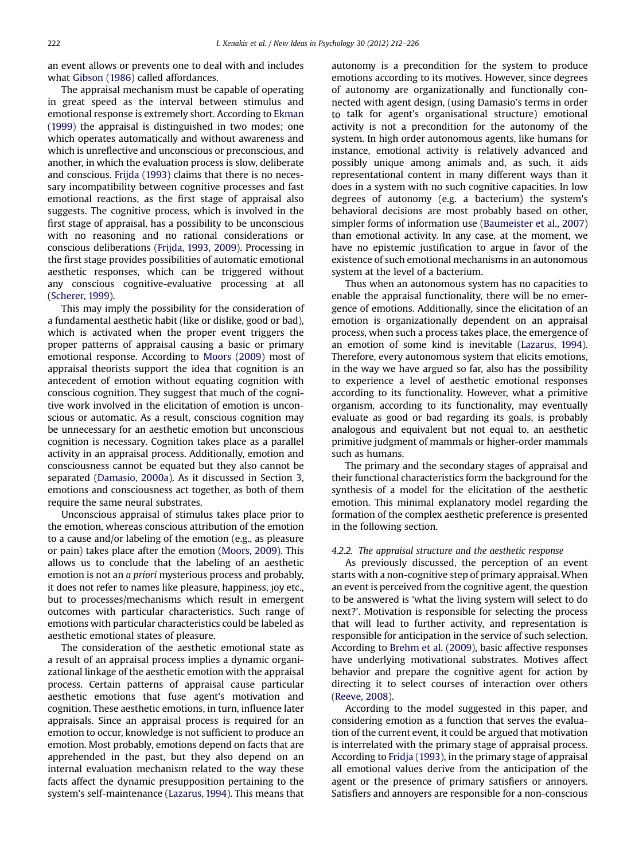an event allows or prevents one to deal with and includes what [Gibson \(1986\)](#page-14-0) called affordances.

The appraisal mechanism must be capable of operating in great speed as the interval between stimulus and emotional response is extremely short. According to [Ekman](#page-14-0) [\(1999\)](#page-14-0) the appraisal is distinguished in two modes; one which operates automatically and without awareness and which is unreflective and unconscious or preconscious, and another, in which the evaluation process is slow, deliberate and conscious. [Frijda \(1993\)](#page-14-0) claims that there is no necessary incompatibility between cognitive processes and fast emotional reactions, as the first stage of appraisal also suggests. The cognitive process, which is involved in the first stage of appraisal, has a possibility to be unconscious with no reasoning and no rational considerations or conscious deliberations [\(Frijda, 1993, 2009](#page-14-0)). Processing in the first stage provides possibilities of automatic emotional aesthetic responses, which can be triggered without any conscious cognitive-evaluative processing at all [\(Scherer, 1999](#page-14-0)).

This may imply the possibility for the consideration of a fundamental aesthetic habit (like or dislike, good or bad), which is activated when the proper event triggers the proper patterns of appraisal causing a basic or primary emotional response. According to [Moors \(2009\)](#page-14-0) most of appraisal theorists support the idea that cognition is an antecedent of emotion without equating cognition with conscious cognition. They suggest that much of the cognitive work involved in the elicitation of emotion is unconscious or automatic. As a result, conscious cognition may be unnecessary for an aesthetic emotion but unconscious cognition is necessary. Cognition takes place as a parallel activity in an appraisal process. Additionally, emotion and consciousness cannot be equated but they also cannot be separated [\(Damasio, 2000a\)](#page-13-0). As it discussed in Section [3](#page-4-0), emotions and consciousness act together, as both of them require the same neural substrates.

Unconscious appraisal of stimulus takes place prior to the emotion, whereas conscious attribution of the emotion to a cause and/or labeling of the emotion (e.g., as pleasure or pain) takes place after the emotion [\(Moors, 2009](#page-14-0)). This allows us to conclude that the labeling of an aesthetic emotion is not an a priori mysterious process and probably, it does not refer to names like pleasure, happiness, joy etc., but to processes/mechanisms which result in emergent outcomes with particular characteristics. Such range of emotions with particular characteristics could be labeled as aesthetic emotional states of pleasure.

The consideration of the aesthetic emotional state as a result of an appraisal process implies a dynamic organizational linkage of the aesthetic emotion with the appraisal process. Certain patterns of appraisal cause particular aesthetic emotions that fuse agent's motivation and cognition. These aesthetic emotions, in turn, influence later appraisals. Since an appraisal process is required for an emotion to occur, knowledge is not sufficient to produce an emotion. Most probably, emotions depend on facts that are apprehended in the past, but they also depend on an internal evaluation mechanism related to the way these facts affect the dynamic presupposition pertaining to the system's self-maintenance [\(Lazarus, 1994\)](#page-14-0). This means that autonomy is a precondition for the system to produce emotions according to its motives. However, since degrees of autonomy are organizationally and functionally connected with agent design, (using Damasio's terms in order to talk for agent's organisational structure) emotional activity is not a precondition for the autonomy of the system. In high order autonomous agents, like humans for instance, emotional activity is relatively advanced and possibly unique among animals and, as such, it aids representational content in many different ways than it does in a system with no such cognitive capacities. In low degrees of autonomy (e.g. a bacterium) the system's behavioral decisions are most probably based on other, simpler forms of information use [\(Baumeister et al., 2007](#page-13-0)) than emotional activity. In any case, at the moment, we have no epistemic justification to argue in favor of the existence of such emotional mechanisms in an autonomous system at the level of a bacterium.

Thus when an autonomous system has no capacities to enable the appraisal functionality, there will be no emergence of emotions. Additionally, since the elicitation of an emotion is organizationally dependent on an appraisal process, when such a process takes place, the emergence of an emotion of some kind is inevitable ([Lazarus, 1994](#page-14-0)). Therefore, every autonomous system that elicits emotions, in the way we have argued so far, also has the possibility to experience a level of aesthetic emotional responses according to its functionality. However, what a primitive organism, according to its functionality, may eventually evaluate as good or bad regarding its goals, is probably analogous and equivalent but not equal to, an aesthetic primitive judgment of mammals or higher-order mammals such as humans.

The primary and the secondary stages of appraisal and their functional characteristics form the background for the synthesis of a model for the elicitation of the aesthetic emotion. This minimal explanatory model regarding the formation of the complex aesthetic preference is presented in the following section.

# 4.2.2. The appraisal structure and the aesthetic response

As previously discussed, the perception of an event starts with a non-cognitive step of primary appraisal. When an event is perceived from the cognitive agent, the question to be answered is 'what the living system will select to do next?'. Motivation is responsible for selecting the process that will lead to further activity, and representation is responsible for anticipation in the service of such selection. According to [Brehm et al. \(2009\)](#page-13-0), basic affective responses have underlying motivational substrates. Motives affect behavior and prepare the cognitive agent for action by directing it to select courses of interaction over others [\(Reeve, 2008](#page-14-0)).

According to the model suggested in this paper, and considering emotion as a function that serves the evaluation of the current event, it could be argued that motivation is interrelated with the primary stage of appraisal process. According to [Fridja \(1993\)](#page-14-0), in the primary stage of appraisal all emotional values derive from the anticipation of the agent or the presence of primary satisfiers or annoyers. Satisfiers and annoyers are responsible for a non-conscious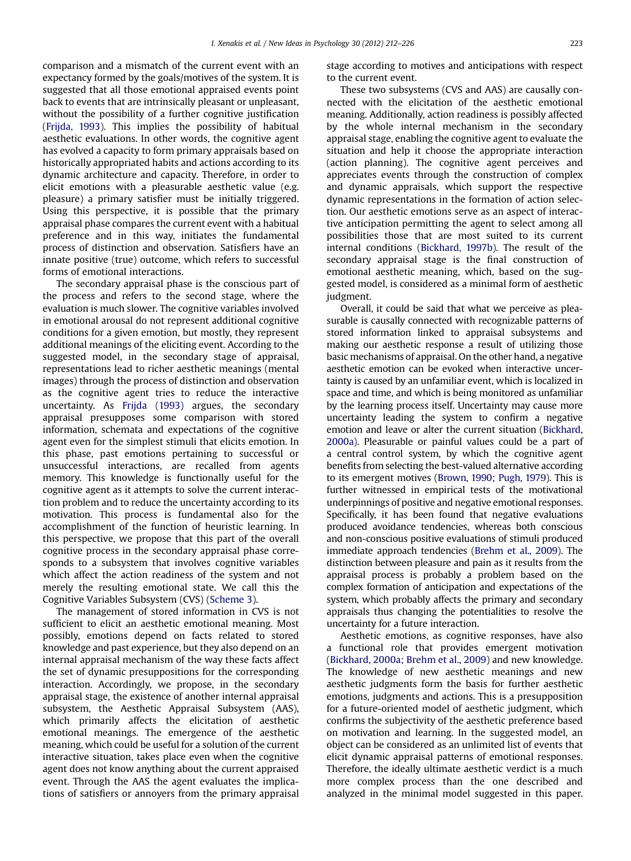comparison and a mismatch of the current event with an expectancy formed by the goals/motives of the system. It is suggested that all those emotional appraised events point back to events that are intrinsically pleasant or unpleasant, without the possibility of a further cognitive justification ([Frijda, 1993](#page-14-0)). This implies the possibility of habitual aesthetic evaluations. In other words, the cognitive agent has evolved a capacity to form primary appraisals based on historically appropriated habits and actions according to its dynamic architecture and capacity. Therefore, in order to elicit emotions with a pleasurable aesthetic value (e.g. pleasure) a primary satisfier must be initially triggered. Using this perspective, it is possible that the primary appraisal phase compares the current event with a habitual preference and in this way, initiates the fundamental process of distinction and observation. Satisfiers have an innate positive (true) outcome, which refers to successful forms of emotional interactions.

The secondary appraisal phase is the conscious part of the process and refers to the second stage, where the evaluation is much slower. The cognitive variables involved in emotional arousal do not represent additional cognitive conditions for a given emotion, but mostly, they represent additional meanings of the eliciting event. According to the suggested model, in the secondary stage of appraisal, representations lead to richer aesthetic meanings (mental images) through the process of distinction and observation as the cognitive agent tries to reduce the interactive uncertainty. As [Frijda \(1993\)](#page-14-0) argues, the secondary appraisal presupposes some comparison with stored information, schemata and expectations of the cognitive agent even for the simplest stimuli that elicits emotion. In this phase, past emotions pertaining to successful or unsuccessful interactions, are recalled from agents memory. This knowledge is functionally useful for the cognitive agent as it attempts to solve the current interaction problem and to reduce the uncertainty according to its motivation. This process is fundamental also for the accomplishment of the function of heuristic learning. In this perspective, we propose that this part of the overall cognitive process in the secondary appraisal phase corresponds to a subsystem that involves cognitive variables which affect the action readiness of the system and not merely the resulting emotional state. We call this the Cognitive Variables Subsystem (CVS) [\(Scheme 3\)](#page-12-0).

The management of stored information in CVS is not sufficient to elicit an aesthetic emotional meaning. Most possibly, emotions depend on facts related to stored knowledge and past experience, but they also depend on an internal appraisal mechanism of the way these facts affect the set of dynamic presuppositions for the corresponding interaction. Accordingly, we propose, in the secondary appraisal stage, the existence of another internal appraisal subsystem, the Aesthetic Appraisal Subsystem (AAS), which primarily affects the elicitation of aesthetic emotional meanings. The emergence of the aesthetic meaning, which could be useful for a solution of the current interactive situation, takes place even when the cognitive agent does not know anything about the current appraised event. Through the AAS the agent evaluates the implications of satisfiers or annoyers from the primary appraisal

stage according to motives and anticipations with respect to the current event.

These two subsystems (CVS and AAS) are causally connected with the elicitation of the aesthetic emotional meaning. Additionally, action readiness is possibly affected by the whole internal mechanism in the secondary appraisal stage, enabling the cognitive agent to evaluate the situation and help it choose the appropriate interaction (action planning). The cognitive agent perceives and appreciates events through the construction of complex and dynamic appraisals, which support the respective dynamic representations in the formation of action selection. Our aesthetic emotions serve as an aspect of interactive anticipation permitting the agent to select among all possibilities those that are most suited to its current internal conditions [\(Bickhard, 1997b](#page-13-0)). The result of the secondary appraisal stage is the final construction of emotional aesthetic meaning, which, based on the suggested model, is considered as a minimal form of aesthetic judgment.

Overall, it could be said that what we perceive as pleasurable is causally connected with recognizable patterns of stored information linked to appraisal subsystems and making our aesthetic response a result of utilizing those basic mechanisms of appraisal. On the other hand, a negative aesthetic emotion can be evoked when interactive uncertainty is caused by an unfamiliar event, which is localized in space and time, and which is being monitored as unfamiliar by the learning process itself. Uncertainty may cause more uncertainty leading the system to confirm a negative emotion and leave or alter the current situation ([Bickhard,](#page-13-0) [2000a](#page-13-0)). Pleasurable or painful values could be a part of a central control system, by which the cognitive agent benefits from selecting the best-valued alternative according to its emergent motives ([Brown, 1990; Pugh, 1979](#page-13-0)). This is further witnessed in empirical tests of the motivational underpinnings of positive and negative emotional responses. Specifically, it has been found that negative evaluations produced avoidance tendencies, whereas both conscious and non-conscious positive evaluations of stimuli produced immediate approach tendencies ([Brehm et al., 2009](#page-13-0)). The distinction between pleasure and pain as it results from the appraisal process is probably a problem based on the complex formation of anticipation and expectations of the system, which probably affects the primary and secondary appraisals thus changing the potentialities to resolve the uncertainty for a future interaction.

Aesthetic emotions, as cognitive responses, have also a functional role that provides emergent motivation ([Bickhard, 2000a; Brehm et al., 2009\)](#page-13-0) and new knowledge. The knowledge of new aesthetic meanings and new aesthetic judgments form the basis for further aesthetic emotions, judgments and actions. This is a presupposition for a future-oriented model of aesthetic judgment, which confirms the subjectivity of the aesthetic preference based on motivation and learning. In the suggested model, an object can be considered as an unlimited list of events that elicit dynamic appraisal patterns of emotional responses. Therefore, the ideally ultimate aesthetic verdict is a much more complex process than the one described and analyzed in the minimal model suggested in this paper.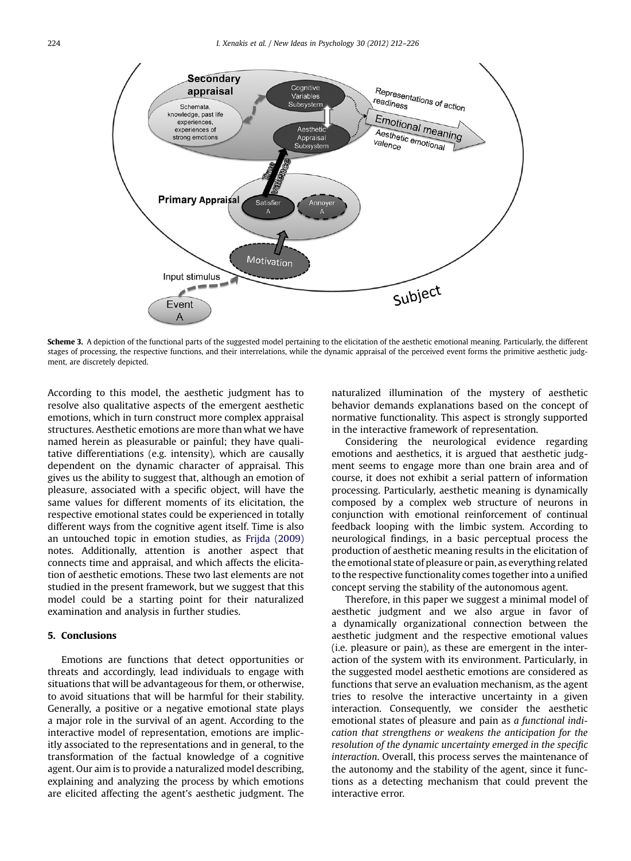<span id="page-12-0"></span>

Scheme 3. A depiction of the functional parts of the suggested model pertaining to the elicitation of the aesthetic emotional meaning. Particularly, the different stages of processing, the respective functions, and their interrelations, while the dynamic appraisal of the perceived event forms the primitive aesthetic judgment, are discretely depicted.

According to this model, the aesthetic judgment has to resolve also qualitative aspects of the emergent aesthetic emotions, which in turn construct more complex appraisal structures. Aesthetic emotions are more than what we have named herein as pleasurable or painful; they have qualitative differentiations (e.g. intensity), which are causally dependent on the dynamic character of appraisal. This gives us the ability to suggest that, although an emotion of pleasure, associated with a specific object, will have the same values for different moments of its elicitation, the respective emotional states could be experienced in totally different ways from the cognitive agent itself. Time is also an untouched topic in emotion studies, as [Frijda \(2009\)](#page-14-0) notes. Additionally, attention is another aspect that connects time and appraisal, and which affects the elicitation of aesthetic emotions. These two last elements are not studied in the present framework, but we suggest that this model could be a starting point for their naturalized examination and analysis in further studies.

# 5. Conclusions

Emotions are functions that detect opportunities or threats and accordingly, lead individuals to engage with situations that will be advantageous for them, or otherwise, to avoid situations that will be harmful for their stability. Generally, a positive or a negative emotional state plays a major role in the survival of an agent. According to the interactive model of representation, emotions are implicitly associated to the representations and in general, to the transformation of the factual knowledge of a cognitive agent. Our aim is to provide a naturalized model describing, explaining and analyzing the process by which emotions are elicited affecting the agent's aesthetic judgment. The

naturalized illumination of the mystery of aesthetic behavior demands explanations based on the concept of normative functionality. This aspect is strongly supported in the interactive framework of representation.

Considering the neurological evidence regarding emotions and aesthetics, it is argued that aesthetic judgment seems to engage more than one brain area and of course, it does not exhibit a serial pattern of information processing. Particularly, aesthetic meaning is dynamically composed by a complex web structure of neurons in conjunction with emotional reinforcement of continual feedback looping with the limbic system. According to neurological findings, in a basic perceptual process the production of aesthetic meaning results in the elicitation of the emotional state of pleasure or pain, as everything related to the respective functionality comes together into a unified concept serving the stability of the autonomous agent.

Therefore, in this paper we suggest a minimal model of aesthetic judgment and we also argue in favor of a dynamically organizational connection between the aesthetic judgment and the respective emotional values (i.e. pleasure or pain), as these are emergent in the interaction of the system with its environment. Particularly, in the suggested model aesthetic emotions are considered as functions that serve an evaluation mechanism, as the agent tries to resolve the interactive uncertainty in a given interaction. Consequently, we consider the aesthetic emotional states of pleasure and pain as a functional indication that strengthens or weakens the anticipation for the resolution of the dynamic uncertainty emerged in the specific interaction. Overall, this process serves the maintenance of the autonomy and the stability of the agent, since it functions as a detecting mechanism that could prevent the interactive error.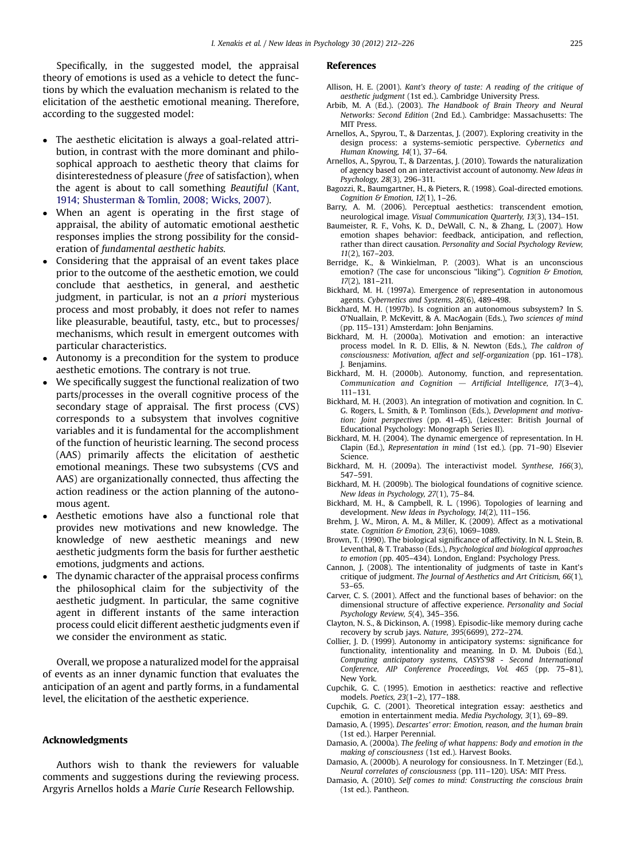<span id="page-13-0"></span>Specifically, in the suggested model, the appraisal theory of emotions is used as a vehicle to detect the functions by which the evaluation mechanism is related to the elicitation of the aesthetic emotional meaning. Therefore, according to the suggested model:

- The aesthetic elicitation is always a goal-related attribution, in contrast with the more dominant and philosophical approach to aesthetic theory that claims for disinterestedness of pleasure (free of satisfaction), when the agent is about to call something Beautiful ([Kant,](#page-14-0) [1914; Shusterman & Tomlin, 2008; Wicks, 2007](#page-14-0)).
- When an agent is operating in the first stage of appraisal, the ability of automatic emotional aesthetic responses implies the strong possibility for the consideration of fundamental aesthetic habits.
- Considering that the appraisal of an event takes place prior to the outcome of the aesthetic emotion, we could conclude that aesthetics, in general, and aesthetic judgment, in particular, is not an a priori mysterious process and most probably, it does not refer to names like pleasurable, beautiful, tasty, etc., but to processes/ mechanisms, which result in emergent outcomes with particular characteristics.
- Autonomy is a precondition for the system to produce aesthetic emotions. The contrary is not true.
- We specifically suggest the functional realization of two parts/processes in the overall cognitive process of the secondary stage of appraisal. The first process (CVS) corresponds to a subsystem that involves cognitive variables and it is fundamental for the accomplishment of the function of heuristic learning. The second process (AAS) primarily affects the elicitation of aesthetic emotional meanings. These two subsystems (CVS and AAS) are organizationally connected, thus affecting the action readiness or the action planning of the autonomous agent.
- Aesthetic emotions have also a functional role that provides new motivations and new knowledge. The knowledge of new aesthetic meanings and new aesthetic judgments form the basis for further aesthetic emotions, judgments and actions.
- The dynamic character of the appraisal process confirms the philosophical claim for the subjectivity of the aesthetic judgment. In particular, the same cognitive agent in different instants of the same interaction process could elicit different aesthetic judgments even if we consider the environment as static.

Overall, we propose a naturalized model for the appraisal of events as an inner dynamic function that evaluates the anticipation of an agent and partly forms, in a fundamental level, the elicitation of the aesthetic experience.

#### Acknowledgments

Authors wish to thank the reviewers for valuable comments and suggestions during the reviewing process. Argyris Arnellos holds a Marie Curie Research Fellowship.

#### References

- Allison, H. E. (2001). Kant's theory of taste: A reading of the critique of aesthetic judgment (1st ed.). Cambridge University Press.
- Arbib, M. A (Ed.). (2003). The Handbook of Brain Theory and Neural Networks: Second Edition (2nd Ed.). Cambridge: Massachusetts: The MIT Press.
- Arnellos, A., Spyrou, T., & Darzentas, J. (2007). Exploring creativity in the design process: a systems-semiotic perspective. Cybernetics and Human Knowing, 14(1), 37–64.
- Arnellos, A., Spyrou, T., & Darzentas, J. (2010). Towards the naturalization of agency based on an interactivist account of autonomy. New Ideas in Psychology, 28(3), 296–311.
- Bagozzi, R., Baumgartner, H., & Pieters, R. (1998). Goal-directed emotions. Cognition & Emotion,  $12(1)$ ,  $1-26$ .
- Barry, A. M. (2006). Perceptual aesthetics: transcendent emotion, neurological image. Visual Communication Quarterly, 13(3), 134–151.
- Baumeister, R. F., Vohs, K. D., DeWall, C. N., & Zhang, L. (2007). How emotion shapes behavior: feedback, anticipation, and reflection, rather than direct causation. Personality and Social Psychology Review, 11(2), 167–203.
- Berridge, K., & Winkielman, P. (2003). What is an unconscious emotion? (The case for unconscious "liking"). Cognition & Emotion, 17(2), 181–211.
- Bickhard, M. H. (1997a). Emergence of representation in autonomous agents. Cybernetics and Systems, 28(6), 489–498.
- Bickhard, M. H. (1997b). Is cognition an autonomous subsystem? In S. O'Nuallain, P. McKevitt, & A. MacAogain (Eds.), Two sciences of mind (pp. 115–131) Amsterdam: John Benjamins.
- Bickhard, M. H. (2000a). Motivation and emotion: an interactive process model. In R. D. Ellis, & N. Newton (Eds.), The caldron of consciousness: Motivation, affect and self-organization (pp. 161–178). J. Benjamins.
- Bickhard, M. H. (2000b). Autonomy, function, and representation. Communication and Cognition  $-$  Artificial Intelligence, 17(3–4), 111–131.
- Bickhard, M. H. (2003). An integration of motivation and cognition. In C. G. Rogers, L. Smith, & P. Tomlinson (Eds.), Development and motivation: Joint perspectives (pp. 41–45), (Leicester: British Journal of Educational Psychology: Monograph Series II).
- Bickhard, M. H. (2004). The dynamic emergence of representation. In H. Clapin (Ed.), Representation in mind (1st ed.). (pp. 71–90) Elsevier Science.
- Bickhard, M. H. (2009a). The interactivist model. Synthese, 166(3), 547–591.
- Bickhard, M. H. (2009b). The biological foundations of cognitive science. New Ideas in Psychology, 27(1), 75–84.
- Bickhard, M. H., & Campbell, R. L. (1996). Topologies of learning and development. New Ideas in Psychology, 14(2), 111–156.
- Brehm, J. W., Miron, A. M., & Miller, K. (2009). Affect as a motivational state. Cognition & Emotion, 23(6), 1069–1089.
- Brown, T. (1990). The biological significance of affectivity. In N. L. Stein, B. Leventhal, & T. Trabasso (Eds.), Psychological and biological approaches to emotion (pp. 405–434). London, England: Psychology Press.
- Cannon, J. (2008). The intentionality of judgments of taste in Kant's critique of judgment. The Journal of Aesthetics and Art Criticism, 66(1), 53–65.
- Carver, C. S. (2001). Affect and the functional bases of behavior: on the dimensional structure of affective experience. Personality and Social Psychology Review, 5(4), 345–356.
- Clayton, N. S., & Dickinson, A. (1998). Episodic-like memory during cache recovery by scrub jays. Nature, 395(6699), 272–274.
- Collier, J. D. (1999). Autonomy in anticipatory systems: significance for functionality, intentionality and meaning. In D. M. Dubois (Ed.), Computing anticipatory systems, CASYS'98 - Second International Conference, AIP Conference Proceedings, Vol. 465 (pp. 75–81), New York.
- Cupchik, G. C. (1995). Emotion in aesthetics: reactive and reflective models. Poetics, 23(1–2), 177–188.
- Cupchik, G. C. (2001). Theoretical integration essay: aesthetics and emotion in entertainment media. Media Psychology, 3(1), 69–89.
- Damasio, A. (1995). Descartes' error: Emotion, reason, and the human brain (1st ed.). Harper Perennial.
- Damasio, A. (2000a). The feeling of what happens: Body and emotion in the making of consciousness (1st ed.). Harvest Books.
- Damasio, A. (2000b). A neurology for consiousness. In T. Metzinger (Ed.), Neural correlates of consciousness (pp. 111–120). USA: MIT Press.
- Damasio, A. (2010). Self comes to mind: Constructing the conscious brain (1st ed.). Pantheon.